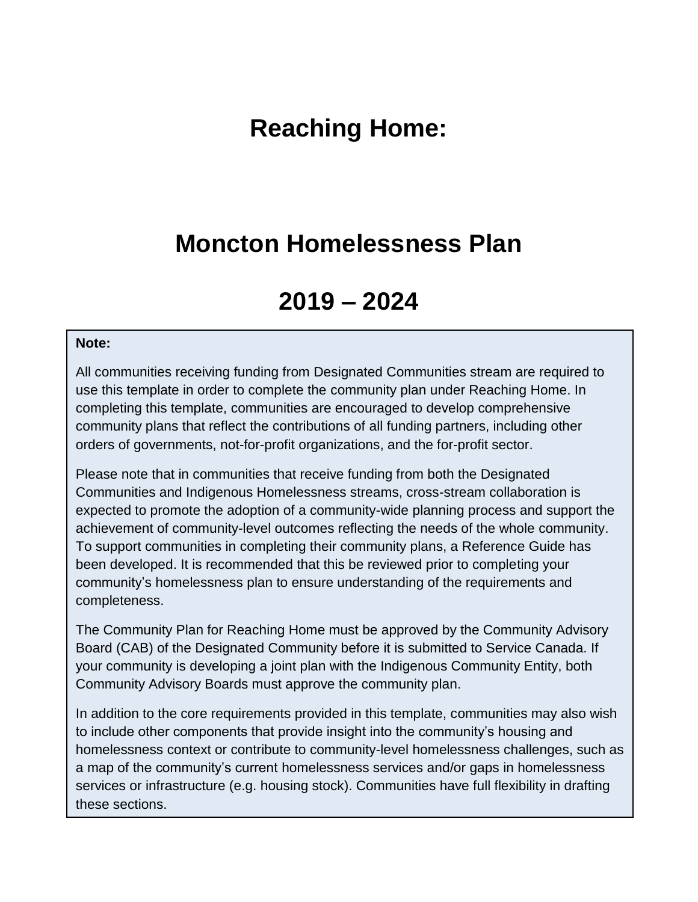## **Reaching Home:**

### **Moncton Homelessness Plan**

# **2019 – 2024**

#### **Note:**

All communities receiving funding from Designated Communities stream are required to use this template in order to complete the community plan under Reaching Home. In completing this template, communities are encouraged to develop comprehensive community plans that reflect the contributions of all funding partners, including other orders of governments, not-for-profit organizations, and the for-profit sector.

Please note that in communities that receive funding from both the Designated Communities and Indigenous Homelessness streams, cross-stream collaboration is expected to promote the adoption of a community-wide planning process and support the achievement of community-level outcomes reflecting the needs of the whole community. To support communities in completing their community plans, a Reference Guide has been developed. It is recommended that this be reviewed prior to completing your community's homelessness plan to ensure understanding of the requirements and completeness.

The Community Plan for Reaching Home must be approved by the Community Advisory Board (CAB) of the Designated Community before it is submitted to Service Canada. If your community is developing a joint plan with the Indigenous Community Entity, both Community Advisory Boards must approve the community plan.

In addition to the core requirements provided in this template, communities may also wish to include other components that provide insight into the community's housing and homelessness context or contribute to community-level homelessness challenges, such as a map of the community's current homelessness services and/or gaps in homelessness services or infrastructure (e.g. housing stock). Communities have full flexibility in drafting these sections.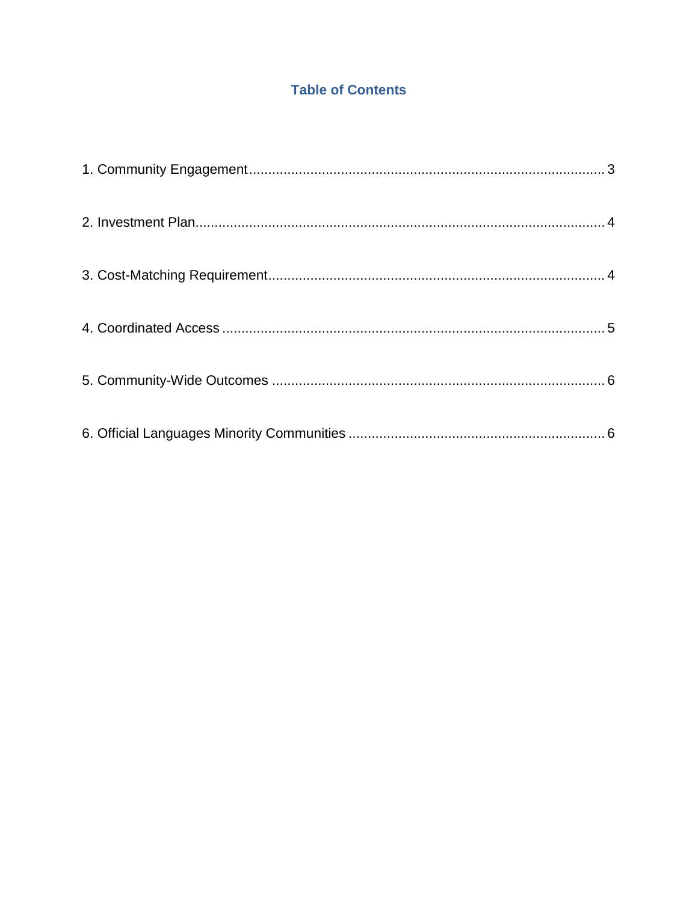### **Table of Contents**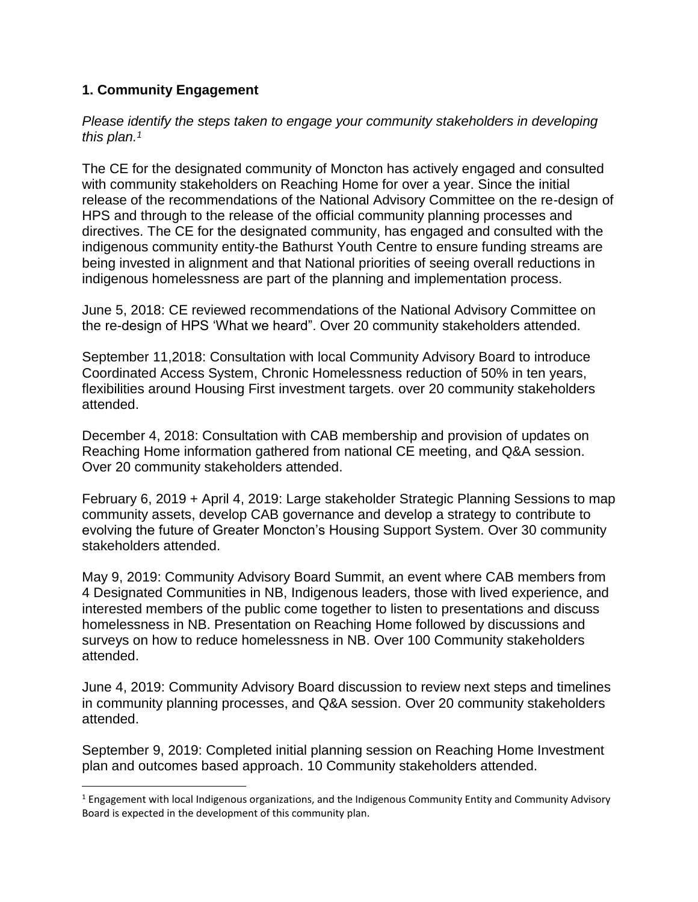#### <span id="page-2-0"></span>**1. Community Engagement**

 $\overline{\phantom{a}}$ 

*Please identify the steps taken to engage your community stakeholders in developing this plan. 1*

The CE for the designated community of Moncton has actively engaged and consulted with community stakeholders on Reaching Home for over a year. Since the initial release of the recommendations of the National Advisory Committee on the re-design of HPS and through to the release of the official community planning processes and directives. The CE for the designated community, has engaged and consulted with the indigenous community entity-the Bathurst Youth Centre to ensure funding streams are being invested in alignment and that National priorities of seeing overall reductions in indigenous homelessness are part of the planning and implementation process.

June 5, 2018: CE reviewed recommendations of the National Advisory Committee on the re-design of HPS 'What we heard". Over 20 community stakeholders attended.

September 11,2018: Consultation with local Community Advisory Board to introduce Coordinated Access System, Chronic Homelessness reduction of 50% in ten years, flexibilities around Housing First investment targets. over 20 community stakeholders attended.

December 4, 2018: Consultation with CAB membership and provision of updates on Reaching Home information gathered from national CE meeting, and Q&A session. Over 20 community stakeholders attended.

February 6, 2019 + April 4, 2019: Large stakeholder Strategic Planning Sessions to map community assets, develop CAB governance and develop a strategy to contribute to evolving the future of Greater Moncton's Housing Support System. Over 30 community stakeholders attended.

May 9, 2019: Community Advisory Board Summit, an event where CAB members from 4 Designated Communities in NB, Indigenous leaders, those with lived experience, and interested members of the public come together to listen to presentations and discuss homelessness in NB. Presentation on Reaching Home followed by discussions and surveys on how to reduce homelessness in NB. Over 100 Community stakeholders attended.

June 4, 2019: Community Advisory Board discussion to review next steps and timelines in community planning processes, and Q&A session. Over 20 community stakeholders attended.

September 9, 2019: Completed initial planning session on Reaching Home Investment plan and outcomes based approach. 10 Community stakeholders attended.

 $1$  Engagement with local Indigenous organizations, and the Indigenous Community Entity and Community Advisory Board is expected in the development of this community plan.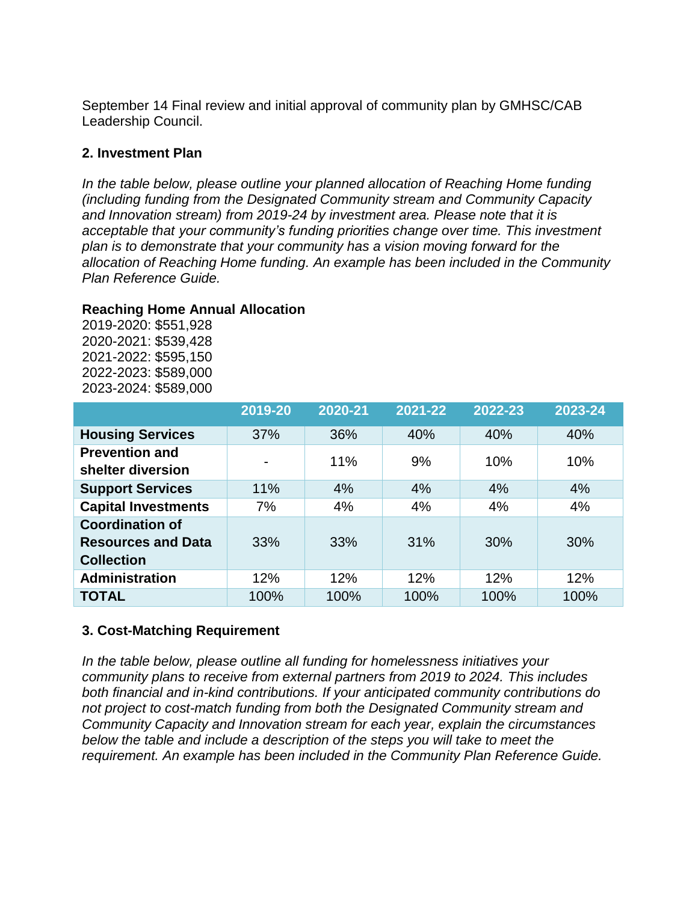September 14 Final review and initial approval of community plan by GMHSC/CAB Leadership Council.

#### <span id="page-3-0"></span>**2. Investment Plan**

*In the table below, please outline your planned allocation of Reaching Home funding (including funding from the Designated Community stream and Community Capacity and Innovation stream) from 2019-24 by investment area. Please note that it is acceptable that your community's funding priorities change over time. This investment plan is to demonstrate that your community has a vision moving forward for the allocation of Reaching Home funding. An example has been included in the Community Plan Reference Guide.* 

#### **Reaching Home Annual Allocation**

2019-2020: \$551,928 2020-2021: \$539,428 2021-2022: \$595,150 2022-2023: \$589,000 2023-2024: \$589,000

|                                                                          | 2019-20 | 2020-21 | 2021-22 | 2022-23 | 2023-24 |
|--------------------------------------------------------------------------|---------|---------|---------|---------|---------|
| <b>Housing Services</b>                                                  | 37%     | 36%     | 40%     | 40%     | 40%     |
| <b>Prevention and</b><br>shelter diversion                               |         | 11%     | 9%      | 10%     | 10%     |
| <b>Support Services</b>                                                  | 11%     | 4%      | 4%      | 4%      | 4%      |
| <b>Capital Investments</b>                                               | 7%      | 4%      | 4%      | 4%      | 4%      |
| <b>Coordination of</b><br><b>Resources and Data</b><br><b>Collection</b> | 33%     | 33%     | 31%     | 30%     | 30%     |
| <b>Administration</b>                                                    | 12%     | 12%     | 12%     | 12%     | 12%     |
| <b>TOTAL</b>                                                             | 100%    | 100%    | 100%    | 100%    | 100%    |

#### <span id="page-3-1"></span>**3. Cost-Matching Requirement**

*In the table below, please outline all funding for homelessness initiatives your community plans to receive from external partners from 2019 to 2024. This includes both financial and in-kind contributions. If your anticipated community contributions do not project to cost-match funding from both the Designated Community stream and Community Capacity and Innovation stream for each year, explain the circumstances below the table and include a description of the steps you will take to meet the requirement. An example has been included in the Community Plan Reference Guide.*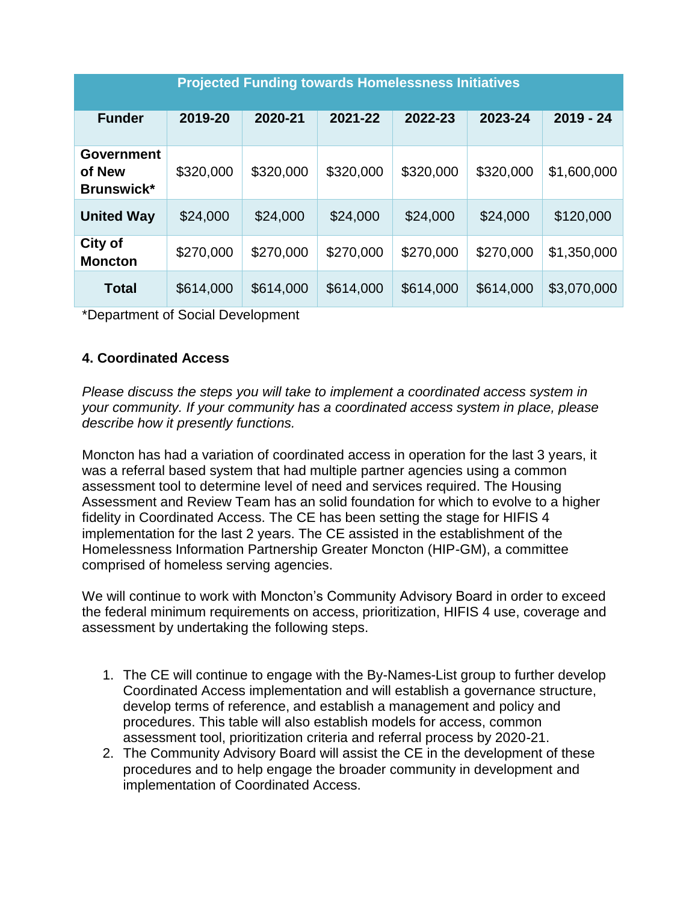| <b>Projected Funding towards Homelessness Initiatives</b> |           |           |           |           |           |             |  |  |  |
|-----------------------------------------------------------|-----------|-----------|-----------|-----------|-----------|-------------|--|--|--|
| <b>Funder</b>                                             | 2019-20   | 2020-21   | 2021-22   | 2022-23   | 2023-24   | $2019 - 24$ |  |  |  |
| <b>Government</b><br>of New<br><b>Brunswick*</b>          | \$320,000 | \$320,000 | \$320,000 | \$320,000 | \$320,000 | \$1,600,000 |  |  |  |
| <b>United Way</b>                                         | \$24,000  | \$24,000  | \$24,000  | \$24,000  | \$24,000  | \$120,000   |  |  |  |
| <b>City of</b><br><b>Moncton</b>                          | \$270,000 | \$270,000 | \$270,000 | \$270,000 | \$270,000 | \$1,350,000 |  |  |  |
| <b>Total</b>                                              | \$614,000 | \$614,000 | \$614,000 | \$614,000 | \$614,000 | \$3,070,000 |  |  |  |

<span id="page-4-0"></span>\*Department of Social Development

#### **4. Coordinated Access**

*Please discuss the steps you will take to implement a coordinated access system in your community. If your community has a coordinated access system in place, please describe how it presently functions.* 

Moncton has had a variation of coordinated access in operation for the last 3 years, it was a referral based system that had multiple partner agencies using a common assessment tool to determine level of need and services required. The Housing Assessment and Review Team has an solid foundation for which to evolve to a higher fidelity in Coordinated Access. The CE has been setting the stage for HIFIS 4 implementation for the last 2 years. The CE assisted in the establishment of the Homelessness Information Partnership Greater Moncton (HIP-GM), a committee comprised of homeless serving agencies.

We will continue to work with Moncton's Community Advisory Board in order to exceed the federal minimum requirements on access, prioritization, HIFIS 4 use, coverage and assessment by undertaking the following steps.

- 1. The CE will continue to engage with the By-Names-List group to further develop Coordinated Access implementation and will establish a governance structure, develop terms of reference, and establish a management and policy and procedures. This table will also establish models for access, common assessment tool, prioritization criteria and referral process by 2020-21.
- 2. The Community Advisory Board will assist the CE in the development of these procedures and to help engage the broader community in development and implementation of Coordinated Access.